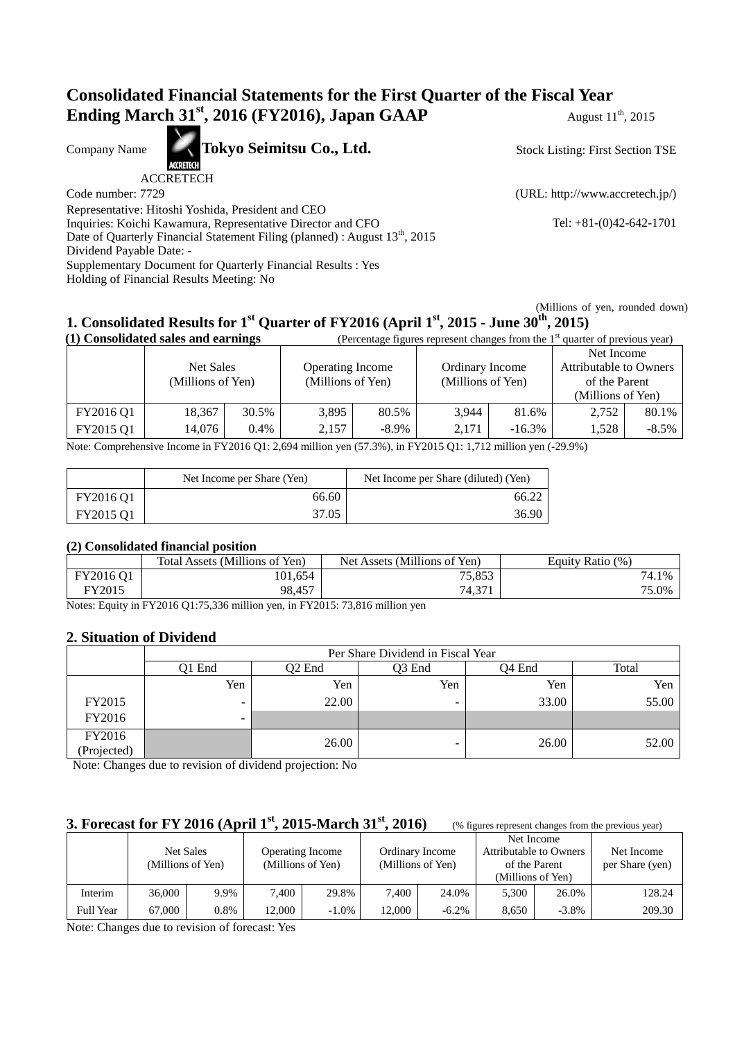# **Consolidated Financial Statements for the First Quarter of the Fiscal Year Ending March 31<sup>st</sup>, 2016 (FY2016), Japan GAAP** August 11<sup>th</sup>, 2015

Company Name **Tokyo Seimitsu Co., Ltd.** 

ACCRETECH

Code number: 7729 (URL: http://www.accretech.jp/)

Stock Listing: First Section TSE

Representative: Hitoshi Yoshida, President and CEO Inquiries: Koichi Kawamura, Representative Director and CFO Tel: +81-(0)42-642-1701 Date of Quarterly Financial Statement Filing (planned) : August  $13<sup>th</sup>$ , 2015 Dividend Payable Date: - Supplementary Document for Quarterly Financial Results : Yes Holding of Financial Results Meeting: No

 (Millions of yen, rounded down) **1. Consolidated Results for 1st Quarter of FY2016 (April 1st, 2015 - June 30th, 2015)**

| (1) Consolidated sales and earnings |                                |         |                                              | (Percentage figures represent changes from the $1st$ quarter of previous year) |                                      |          |                                         |          |
|-------------------------------------|--------------------------------|---------|----------------------------------------------|--------------------------------------------------------------------------------|--------------------------------------|----------|-----------------------------------------|----------|
|                                     |                                |         |                                              |                                                                                |                                      |          | Net Income                              |          |
|                                     | Net Sales<br>(Millions of Yen) |         | <b>Operating Income</b><br>(Millions of Yen) |                                                                                | Ordinary Income<br>(Millions of Yen) |          | Attributable to Owners<br>of the Parent |          |
|                                     |                                |         |                                              |                                                                                |                                      |          |                                         |          |
|                                     |                                |         |                                              |                                                                                |                                      |          | (Millions of Yen)                       |          |
| FY2016 Q1                           | 18,367                         | 30.5%   | 3,895                                        | 80.5%                                                                          | 3.944                                | 81.6%    | 2,752                                   | 80.1%    |
| FY2015 Q1                           | 14.076                         | $0.4\%$ | 2.157                                        | $-8.9\%$                                                                       | 2.171                                | $-16.3%$ | 1.528                                   | $-8.5\%$ |

Note: Comprehensive Income in FY2016 Q1: 2,694 million yen (57.3%), in FY2015 Q1: 1,712 million yen (-29.9%)

|           | Net Income per Share (Yen) | Net Income per Share (diluted) (Yen) |
|-----------|----------------------------|--------------------------------------|
| FY2016 Q1 | 66.60                      | 66.22                                |
| FY2015 Q1 | 37.05                      | 36.90                                |

### **(2) Consolidated financial position**

|                                          | Total Assets (Millions of Yen) | Net Assets (Millions of Yen) | <b>Equity Ratio</b><br>(% |
|------------------------------------------|--------------------------------|------------------------------|---------------------------|
| FY2016 Q1                                | 101,654                        | 75,853                       | 74.1<br>1%                |
| FY2015                                   | 98.457                         | 74,371                       | 75.0%                     |
| $\mathbf{v}$<br>$\overline{\phantom{a}}$ | T117001201777201               | T112001777012717             |                           |

Notes: Equity in FY2016 Q1:75,336 million yen, in FY2015: 73,816 million yen

### **2. Situation of Dividend**

|             | Per Share Dividend in Fiscal Year |        |                    |                    |       |  |  |
|-------------|-----------------------------------|--------|--------------------|--------------------|-------|--|--|
|             | Q1 End                            | O2 End | O <sub>3</sub> End | O <sub>4</sub> End | Total |  |  |
|             | Yen                               | Yen    | Yen                | Yen                | Yen   |  |  |
| FY2015      |                                   | 22.00  | -                  | 33.00              | 55.00 |  |  |
| FY2016      | $\overline{\phantom{a}}$          |        |                    |                    |       |  |  |
| FY2016      |                                   | 26.00  |                    | 26.00              | 52.00 |  |  |
| (Projected) |                                   |        |                    |                    |       |  |  |

Note: Changes due to revision of dividend projection: No

# **3. Forecast for FY 2016 (April 1<sup>st</sup>, 2015-March 31<sup>st</sup>, 2016)** (% figures represent changes from the previous year)

|           |        | Net Sales<br>(Millions of Yen) |        | <b>Operating Income</b><br>(Millions of Yen) |        | Ordinary Income<br>(Millions of Yen) |       | Net Income<br>Attributable to Owners<br>of the Parent<br>(Millions of Yen) | Net Income<br>per Share (yen) |
|-----------|--------|--------------------------------|--------|----------------------------------------------|--------|--------------------------------------|-------|----------------------------------------------------------------------------|-------------------------------|
| Interim   | 36,000 | 9.9%                           | 7,400  | 29.8%                                        | 7.400  | 24.0%                                | 5.300 | 26.0%                                                                      | 128.24                        |
| Full Year | 67.000 | $0.8\%$                        | 12.000 | $-1.0\%$                                     | 12.000 | $-6.2%$                              | 8,650 | $-3.8\%$                                                                   | 209.30                        |

Note: Changes due to revision of forecast: Yes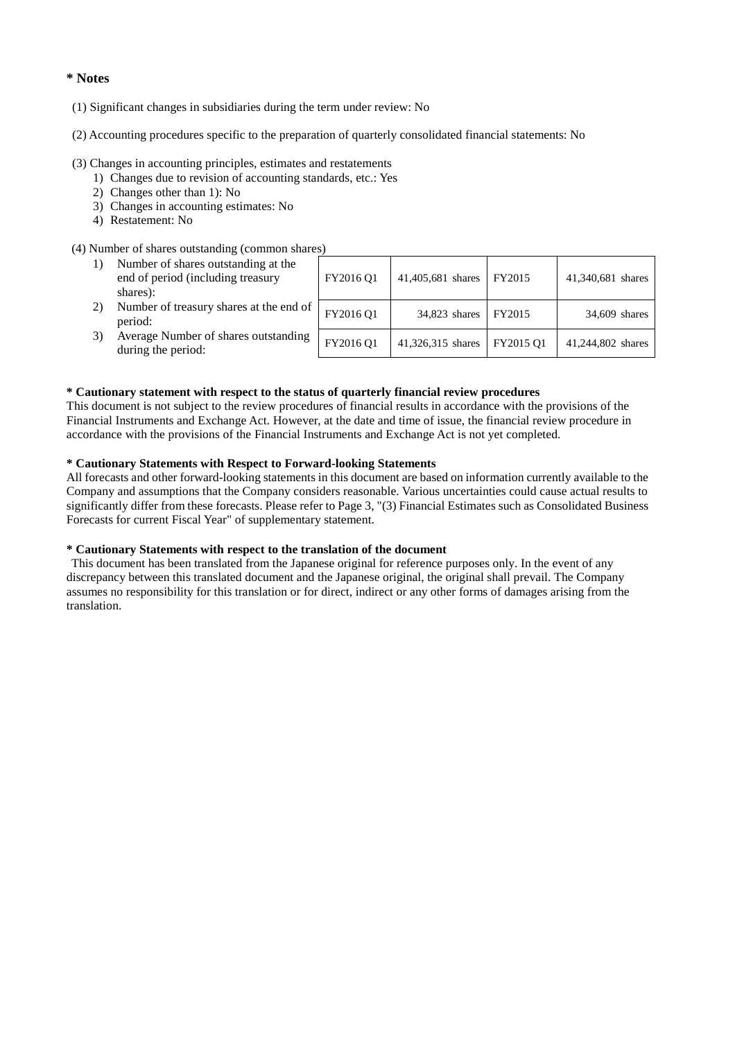### **\* Notes**

- (1) Significant changes in subsidiaries during the term under review: No
- (2) Accounting procedures specific to the preparation of quarterly consolidated financial statements: No

#### (3) Changes in accounting principles, estimates and restatements

- 1) Changes due to revision of accounting standards, etc.: Yes
- 2) Changes other than 1): No
- 3) Changes in accounting estimates: No
- 4) Restatement: No

#### (4) Number of shares outstanding (common shares)

| 1) | Number of shares outstanding at the<br>end of period (including treasury<br>shares): | FY2016 Q1 | 41,405,681 shares | FY2015    | 41,340,681 shares |
|----|--------------------------------------------------------------------------------------|-----------|-------------------|-----------|-------------------|
| 2) | Number of treasury shares at the end of<br>period:                                   | FY2016 Q1 | 34,823 shares     | FY2015    | 34,609 shares     |
| 3) | Average Number of shares outstanding<br>during the period:                           | FY2016 Q1 | 41,326,315 shares | FY2015 O1 | 41,244,802 shares |

#### **\* Cautionary statement with respect to the status of quarterly financial review procedures**

This document is not subject to the review procedures of financial results in accordance with the provisions of the Financial Instruments and Exchange Act. However, at the date and time of issue, the financial review procedure in accordance with the provisions of the Financial Instruments and Exchange Act is not yet completed.

#### **\* Cautionary Statements with Respect to Forward-looking Statements**

All forecasts and other forward-looking statements in this document are based on information currently available to the Company and assumptions that the Company considers reasonable. Various uncertainties could cause actual results to significantly differ from these forecasts. Please refer to Page 3, "(3) Financial Estimates such as Consolidated Business Forecasts for current Fiscal Year" of supplementary statement.

#### **\* Cautionary Statements with respect to the translation of the document**

 This document has been translated from the Japanese original for reference purposes only. In the event of any discrepancy between this translated document and the Japanese original, the original shall prevail. The Company assumes no responsibility for this translation or for direct, indirect or any other forms of damages arising from the translation.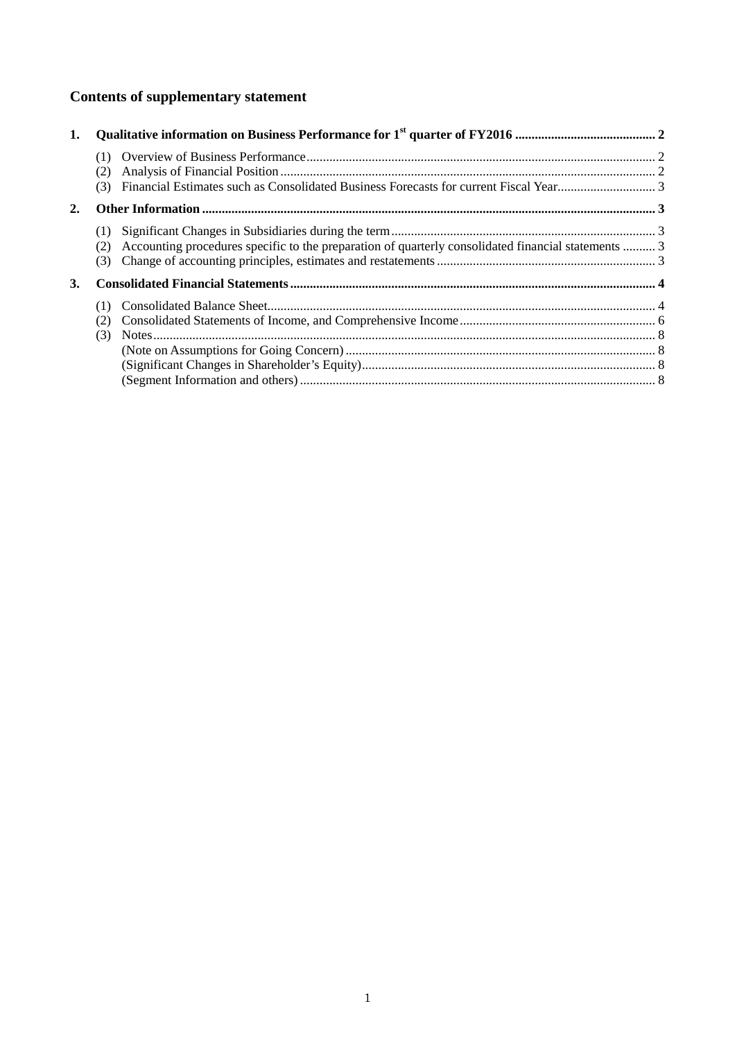# **Contents of supplementary statement**

| 1. |                   |                                                                                                     |  |
|----|-------------------|-----------------------------------------------------------------------------------------------------|--|
|    | (1)<br>(2)<br>(3) |                                                                                                     |  |
| 2. |                   |                                                                                                     |  |
|    | (1)<br>(2)<br>(3) | Accounting procedures specific to the preparation of quarterly consolidated financial statements  3 |  |
| 3. |                   |                                                                                                     |  |
|    | (1)               |                                                                                                     |  |
|    | (2)               |                                                                                                     |  |
|    | (3)               |                                                                                                     |  |
|    |                   |                                                                                                     |  |
|    |                   |                                                                                                     |  |
|    |                   |                                                                                                     |  |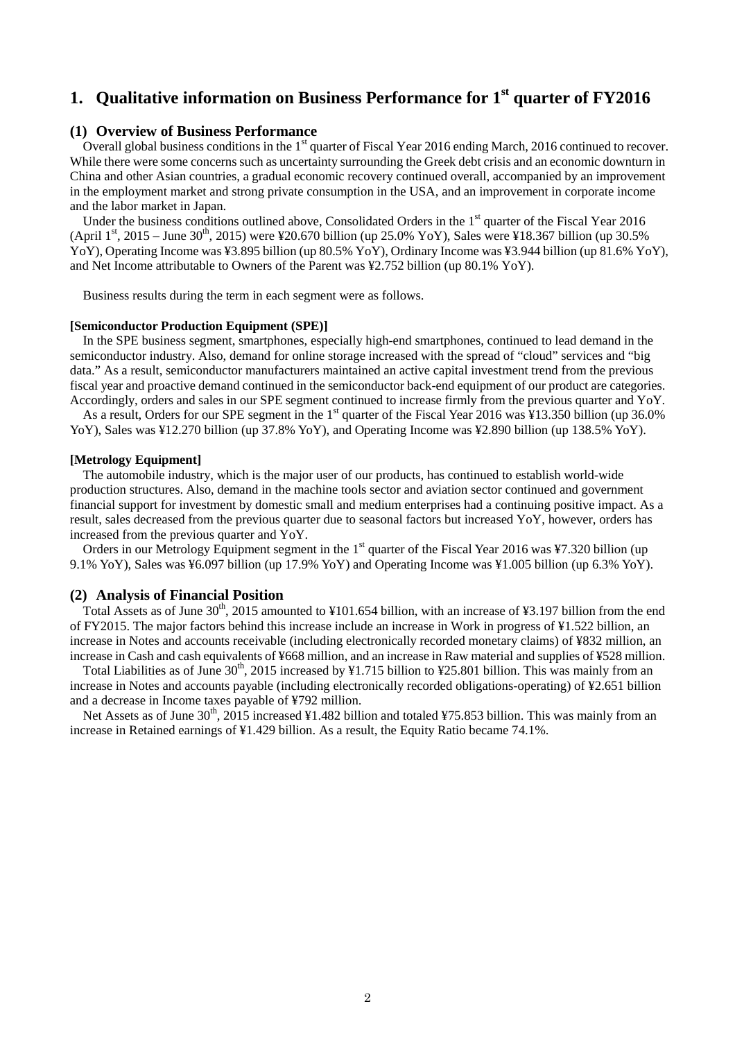# **1. Qualitative information on Business Performance for 1st quarter of FY2016**

#### **(1) Overview of Business Performance**

Overall global business conditions in the 1<sup>st</sup> quarter of Fiscal Year 2016 ending March, 2016 continued to recover. While there were some concerns such as uncertainty surrounding the Greek debt crisis and an economic downturn in China and other Asian countries, a gradual economic recovery continued overall, accompanied by an improvement in the employment market and strong private consumption in the USA, and an improvement in corporate income and the labor market in Japan.

Under the business conditions outlined above, Consolidated Orders in the  $1<sup>st</sup>$  quarter of the Fiscal Year 2016 (April 1<sup>st</sup>, 2015 – June 30<sup>th</sup>, 2015) were ¥20.670 billion (up 25.0% YoY), Sales were ¥18.367 billion (up 30.5%) YoY), Operating Income was ¥3.895 billion (up 80.5% YoY), Ordinary Income was ¥3.944 billion (up 81.6% YoY), and Net Income attributable to Owners of the Parent was ¥2.752 billion (up 80.1% YoY).

Business results during the term in each segment were as follows.

#### **[Semiconductor Production Equipment (SPE)]**

In the SPE business segment, smartphones, especially high-end smartphones, continued to lead demand in the semiconductor industry. Also, demand for online storage increased with the spread of "cloud" services and "big data." As a result, semiconductor manufacturers maintained an active capital investment trend from the previous fiscal year and proactive demand continued in the semiconductor back-end equipment of our product are categories. Accordingly, orders and sales in our SPE segment continued to increase firmly from the previous quarter and YoY.

As a result, Orders for our SPE segment in the  $1<sup>st</sup>$  quarter of the Fiscal Year 2016 was ¥13.350 billion (up 36.0%) YoY), Sales was ¥12.270 billion (up 37.8% YoY), and Operating Income was ¥2.890 billion (up 138.5% YoY).

#### **[Metrology Equipment]**

The automobile industry, which is the major user of our products, has continued to establish world-wide production structures. Also, demand in the machine tools sector and aviation sector continued and government financial support for investment by domestic small and medium enterprises had a continuing positive impact. As a result, sales decreased from the previous quarter due to seasonal factors but increased YoY, however, orders has increased from the previous quarter and YoY.

Orders in our Metrology Equipment segment in the  $1<sup>st</sup>$  quarter of the Fiscal Year 2016 was ¥7.320 billion (up 9.1% YoY), Sales was ¥6.097 billion (up 17.9% YoY) and Operating Income was ¥1.005 billion (up 6.3% YoY).

#### **(2) Analysis of Financial Position**

Total Assets as of June  $30<sup>th</sup>$ , 2015 amounted to ¥101.654 billion, with an increase of ¥3.197 billion from the end of FY2015. The major factors behind this increase include an increase in Work in progress of ¥1.522 billion, an increase in Notes and accounts receivable (including electronically recorded monetary claims) of ¥832 million, an increase in Cash and cash equivalents of ¥668 million, and an increase in Raw material and supplies of ¥528 million.

Total Liabilities as of June  $30<sup>th</sup>$ , 2015 increased by ¥1.715 billion to ¥25.801 billion. This was mainly from an increase in Notes and accounts payable (including electronically recorded obligations-operating) of ¥2.651 billion and a decrease in Income taxes payable of ¥792 million.

Net Assets as of June  $30<sup>th</sup>$ , 2015 increased ¥1.482 billion and totaled ¥75.853 billion. This was mainly from an increase in Retained earnings of ¥1.429 billion. As a result, the Equity Ratio became 74.1%.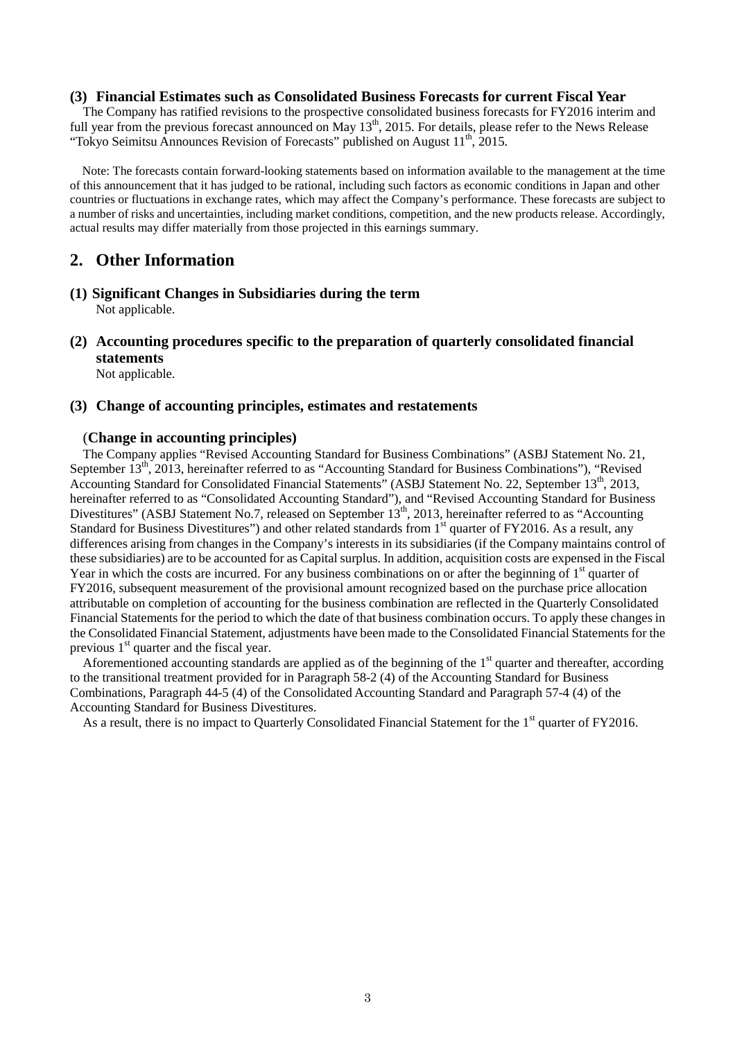### **(3) Financial Estimates such as Consolidated Business Forecasts for current Fiscal Year**

The Company has ratified revisions to the prospective consolidated business forecasts for FY2016 interim and full year from the previous forecast announced on May 13<sup>th</sup>, 2015. For details, please refer to the News Release "Tokyo Seimitsu Announces Revision of Forecasts" published on August  $11<sup>th</sup>$ , 2015.

Note: The forecasts contain forward-looking statements based on information available to the management at the time of this announcement that it has judged to be rational, including such factors as economic conditions in Japan and other countries or fluctuations in exchange rates, which may affect the Company's performance. These forecasts are subject to a number of risks and uncertainties, including market conditions, competition, and the new products release. Accordingly, actual results may differ materially from those projected in this earnings summary.

# **2. Other Information**

- **(1) Significant Changes in Subsidiaries during the term** Not applicable.
- **(2) Accounting procedures specific to the preparation of quarterly consolidated financial statements**

Not applicable.

#### **(3) Change of accounting principles, estimates and restatements**

### (**Change in accounting principles)**

The Company applies "Revised Accounting Standard for Business Combinations" (ASBJ Statement No. 21, September 13<sup>th</sup>, 2013, hereinafter referred to as "Accounting Standard for Business Combinations"), "Revised Accounting Standard for Consolidated Financial Statements" (ASBJ Statement No. 22, September 13<sup>th</sup>, 2013, hereinafter referred to as "Consolidated Accounting Standard"), and "Revised Accounting Standard for Business Divestitures" (ASBJ Statement No.7, released on September 13<sup>th</sup>, 2013, hereinafter referred to as "Accounting") Standard for Business Divestitures") and other related standards from 1<sup>st</sup> quarter of FY2016. As a result, any differences arising from changes in the Company's interests in its subsidiaries (if the Company maintains control of these subsidiaries) are to be accounted for as Capital surplus. In addition, acquisition costs are expensed in the Fiscal Year in which the costs are incurred. For any business combinations on or after the beginning of  $1<sup>st</sup>$  quarter of FY2016, subsequent measurement of the provisional amount recognized based on the purchase price allocation attributable on completion of accounting for the business combination are reflected in the Quarterly Consolidated Financial Statements for the period to which the date of that business combination occurs. To apply these changes in the Consolidated Financial Statement, adjustments have been made to the Consolidated Financial Statements for the previous  $1<sup>st</sup>$  quarter and the fiscal year.

Aforementioned accounting standards are applied as of the beginning of the  $1<sup>st</sup>$  quarter and thereafter, according to the transitional treatment provided for in Paragraph 58-2 (4) of the Accounting Standard for Business Combinations, Paragraph 44-5 (4) of the Consolidated Accounting Standard and Paragraph 57-4 (4) of the Accounting Standard for Business Divestitures.

As a result, there is no impact to Quarterly Consolidated Financial Statement for the 1<sup>st</sup> quarter of FY2016.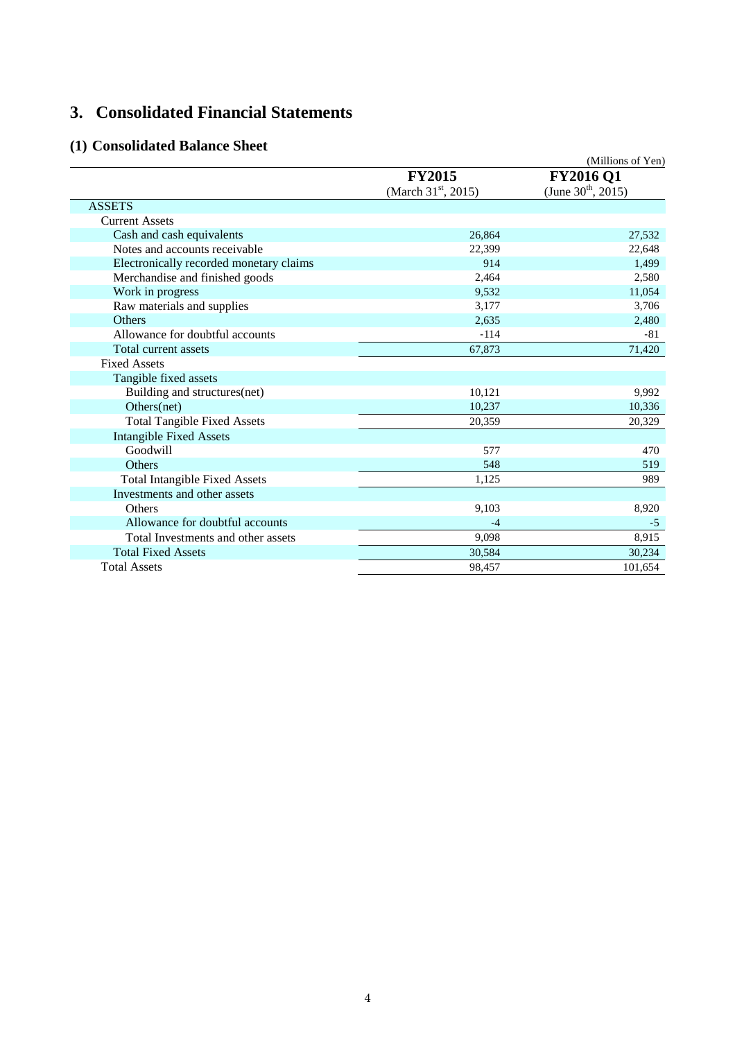# **3. Consolidated Financial Statements**

# **(1) Consolidated Balance Sheet**

| (1) Consondated Dalance Sheet           |                                 | (Millions of Yen)       |
|-----------------------------------------|---------------------------------|-------------------------|
|                                         | <b>FY2015</b>                   | <b>FY2016 Q1</b>        |
|                                         | (March $31^{\text{st}}$ , 2015) | (June $30^{th}$ , 2015) |
| <b>ASSETS</b>                           |                                 |                         |
| <b>Current Assets</b>                   |                                 |                         |
| Cash and cash equivalents               | 26,864                          | 27,532                  |
| Notes and accounts receivable           | 22,399                          | 22,648                  |
| Electronically recorded monetary claims | 914                             | 1,499                   |
| Merchandise and finished goods          | 2,464                           | 2,580                   |
| Work in progress                        | 9,532                           | 11,054                  |
| Raw materials and supplies              | 3,177                           | 3,706                   |
| <b>Others</b>                           | 2,635                           | 2,480                   |
| Allowance for doubtful accounts         | $-114$                          | $-81$                   |
| Total current assets                    | 67,873                          | 71,420                  |
| <b>Fixed Assets</b>                     |                                 |                         |
| Tangible fixed assets                   |                                 |                         |
| Building and structures(net)            | 10,121                          | 9,992                   |
| Others(net)                             | 10,237                          | 10,336                  |
| <b>Total Tangible Fixed Assets</b>      | 20,359                          | 20,329                  |
| <b>Intangible Fixed Assets</b>          |                                 |                         |
| Goodwill                                | 577                             | 470                     |
| Others                                  | 548                             | 519                     |
| <b>Total Intangible Fixed Assets</b>    | 1,125                           | 989                     |
| Investments and other assets            |                                 |                         |
| <b>Others</b>                           | 9,103                           | 8,920                   |
| Allowance for doubtful accounts         | $-4$                            | $-5$                    |
| Total Investments and other assets      | 9,098                           | 8,915                   |
| <b>Total Fixed Assets</b>               | 30,584                          | 30,234                  |
| <b>Total Assets</b>                     | 98,457                          | 101,654                 |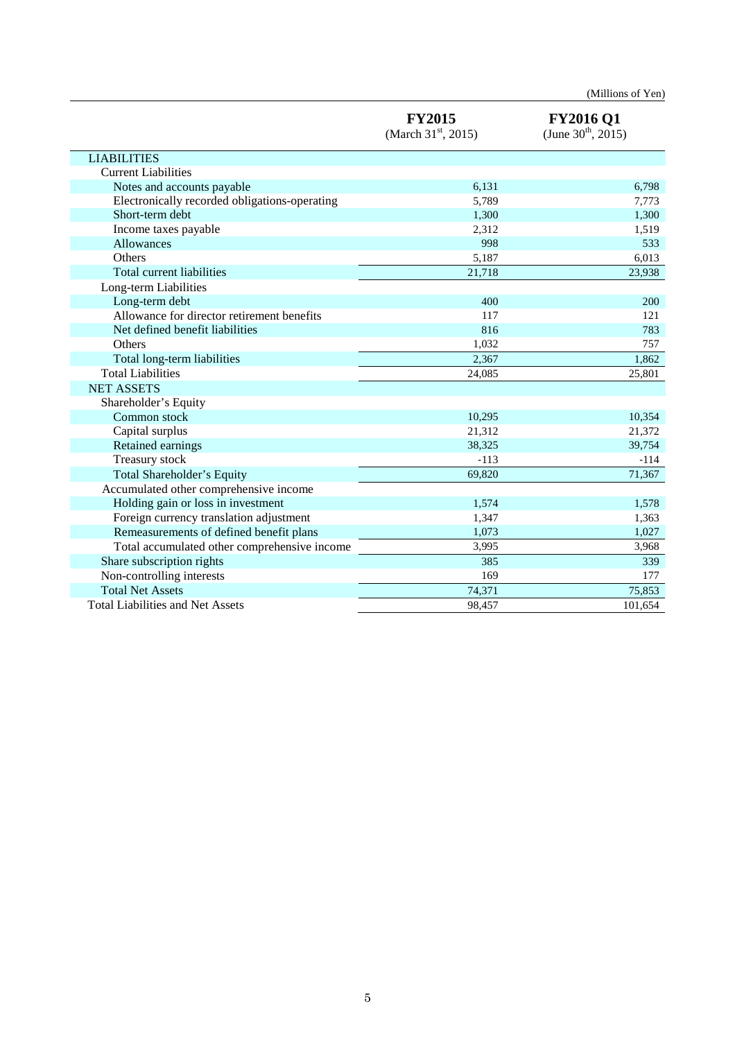|                                               |                                                  | (Millions of Yen)                           |
|-----------------------------------------------|--------------------------------------------------|---------------------------------------------|
|                                               | <b>FY2015</b><br>(March $31^{\text{st}}$ , 2015) | <b>FY2016 Q1</b><br>(June $30^{th}$ , 2015) |
| <b>LIABILITIES</b>                            |                                                  |                                             |
| <b>Current Liabilities</b>                    |                                                  |                                             |
| Notes and accounts payable                    | 6,131                                            | 6,798                                       |
| Electronically recorded obligations-operating | 5,789                                            | 7,773                                       |
| Short-term debt                               | 1,300                                            | 1,300                                       |
| Income taxes payable                          | 2,312                                            | 1,519                                       |
| Allowances                                    | 998                                              | 533                                         |
| Others                                        | 5,187                                            | 6,013                                       |
| Total current liabilities                     | 21,718                                           | 23,938                                      |
| Long-term Liabilities                         |                                                  |                                             |
| Long-term debt                                | 400                                              | 200                                         |
| Allowance for director retirement benefits    | 117                                              | 121                                         |
| Net defined benefit liabilities               | 816                                              | 783                                         |
| Others                                        | 1,032                                            | 757                                         |
| Total long-term liabilities                   | 2,367                                            | 1,862                                       |
| <b>Total Liabilities</b>                      | 24,085                                           | 25,801                                      |
| <b>NET ASSETS</b>                             |                                                  |                                             |
| Shareholder's Equity                          |                                                  |                                             |
| Common stock                                  | 10,295                                           | 10,354                                      |
| Capital surplus                               | 21,312                                           | 21,372                                      |
| Retained earnings                             | 38,325                                           | 39,754                                      |
| Treasury stock                                | $-113$                                           | $-114$                                      |
| Total Shareholder's Equity                    | 69,820                                           | 71,367                                      |
| Accumulated other comprehensive income        |                                                  |                                             |
| Holding gain or loss in investment            | 1,574                                            | 1,578                                       |
| Foreign currency translation adjustment       | 1,347                                            | 1,363                                       |
| Remeasurements of defined benefit plans       | 1,073                                            | 1,027                                       |
| Total accumulated other comprehensive income  | 3,995                                            | 3,968                                       |
| Share subscription rights                     | 385                                              | 339                                         |
| Non-controlling interests                     | 169                                              | 177                                         |
| <b>Total Net Assets</b>                       | 74,371                                           | 75,853                                      |
| <b>Total Liabilities and Net Assets</b>       | 98,457                                           | 101,654                                     |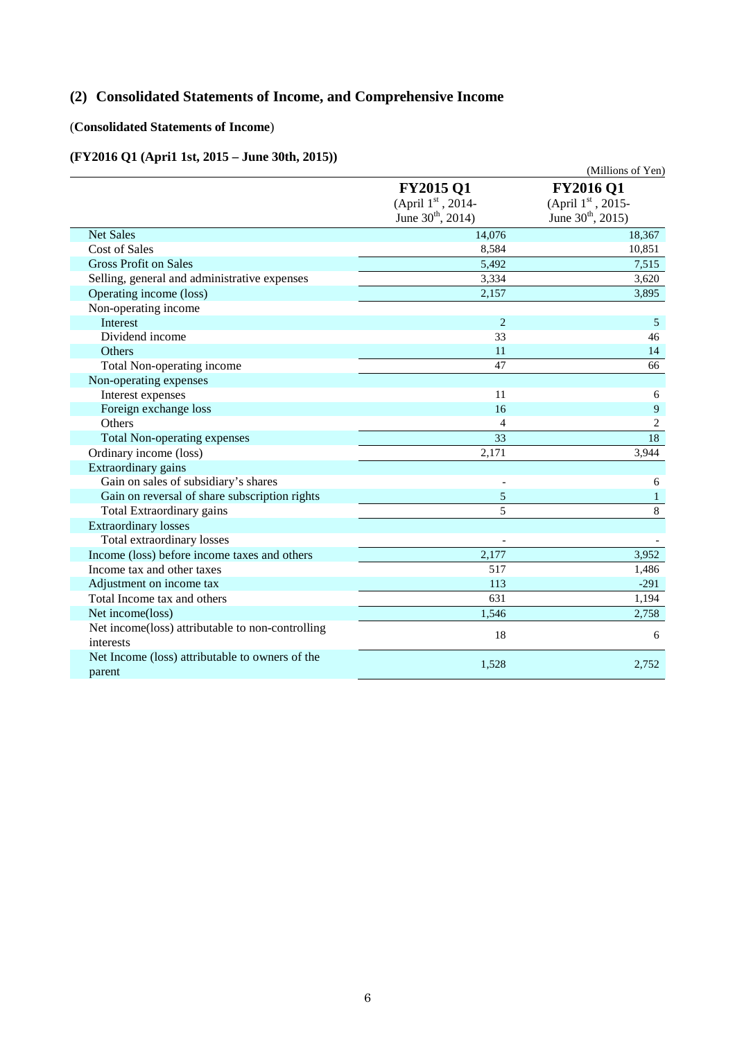# **(2) Consolidated Statements of Income, and Comprehensive Income**

# (**Consolidated Statements of Income**)

### **(FY2016 Q1 (Apri1 1st, 2015 – June 30th, 2015))**

|                                                               |                                                                           | (Millions of Yen)                                               |
|---------------------------------------------------------------|---------------------------------------------------------------------------|-----------------------------------------------------------------|
|                                                               | <b>FY2015 Q1</b><br>(April $1st$ , 2014-<br>June 30 <sup>th</sup> , 2014) | <b>FY2016 Q1</b><br>(April 1st, 2015-<br>June $30^{th}$ , 2015) |
| <b>Net Sales</b>                                              | 14,076                                                                    | 18,367                                                          |
| <b>Cost of Sales</b>                                          | 8,584                                                                     | 10,851                                                          |
| <b>Gross Profit on Sales</b>                                  | 5,492                                                                     | 7,515                                                           |
| Selling, general and administrative expenses                  | 3,334                                                                     | 3,620                                                           |
| Operating income (loss)                                       | 2,157                                                                     | 3,895                                                           |
| Non-operating income                                          |                                                                           |                                                                 |
| Interest                                                      | $\overline{2}$                                                            | 5                                                               |
| Dividend income                                               | 33                                                                        | 46                                                              |
| Others                                                        | 11                                                                        | 14                                                              |
| Total Non-operating income                                    | 47                                                                        | 66                                                              |
| Non-operating expenses                                        |                                                                           |                                                                 |
| Interest expenses                                             | 11                                                                        | 6                                                               |
| Foreign exchange loss                                         | 16                                                                        | 9                                                               |
| Others                                                        | 4                                                                         | $\overline{c}$                                                  |
| Total Non-operating expenses                                  | $\overline{33}$                                                           | $\overline{18}$                                                 |
| Ordinary income (loss)                                        | 2,171                                                                     | 3,944                                                           |
| Extraordinary gains                                           |                                                                           |                                                                 |
| Gain on sales of subsidiary's shares                          |                                                                           | 6                                                               |
| Gain on reversal of share subscription rights                 | 5                                                                         | $\mathbf{1}$                                                    |
| Total Extraordinary gains                                     | 5                                                                         | 8                                                               |
| <b>Extraordinary losses</b>                                   |                                                                           |                                                                 |
| Total extraordinary losses                                    |                                                                           |                                                                 |
| Income (loss) before income taxes and others                  | 2,177                                                                     | 3,952                                                           |
| Income tax and other taxes                                    | 517                                                                       | 1,486                                                           |
| Adjustment on income tax                                      | 113                                                                       | $-291$                                                          |
| Total Income tax and others                                   | 631                                                                       | 1,194                                                           |
| Net income(loss)                                              | 1,546                                                                     | 2,758                                                           |
| Net income(loss) attributable to non-controlling<br>interests | 18                                                                        | 6                                                               |
| Net Income (loss) attributable to owners of the<br>parent     | 1,528                                                                     | 2,752                                                           |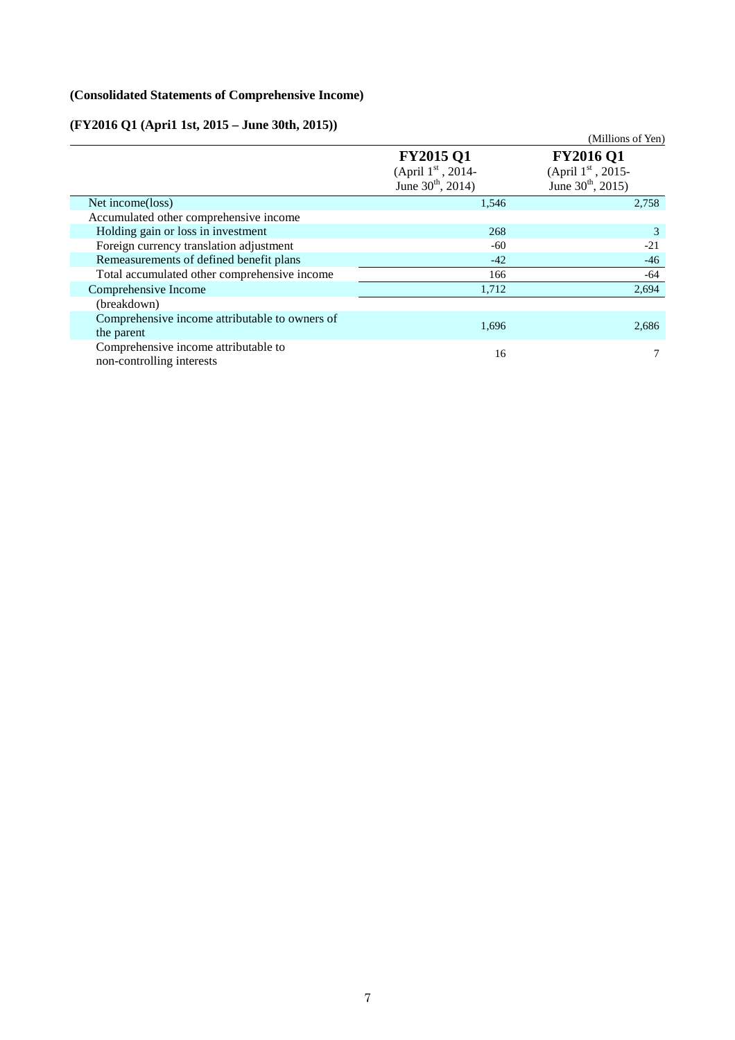# **(Consolidated Statements of Comprehensive Income)**

# **(FY2016 Q1 (Apri1 1st, 2015 – June 30th, 2015))**

| $(F Y 2010 QI (APr11 1st, 2015 - June 30th, 2015))$               |                                                                    |                                                                              |
|-------------------------------------------------------------------|--------------------------------------------------------------------|------------------------------------------------------------------------------|
|                                                                   |                                                                    | (Millions of Yen)                                                            |
|                                                                   | <b>FY2015 Q1</b><br>(April $1st$ , 2014-<br>June $30^{th}$ , 2014) | <b>FY2016 Q1</b><br>(April $1^{st}$ , 2015-<br>June $30^{\text{th}}$ , 2015) |
| Net income(loss)                                                  | 1,546                                                              | 2,758                                                                        |
| Accumulated other comprehensive income                            |                                                                    |                                                                              |
| Holding gain or loss in investment                                | 268                                                                | 3                                                                            |
| Foreign currency translation adjustment                           | -60                                                                | $-21$                                                                        |
| Remeasurements of defined benefit plans                           | $-42$                                                              | $-46$                                                                        |
| Total accumulated other comprehensive income                      | 166                                                                | -64                                                                          |
| Comprehensive Income                                              | 1,712                                                              | 2,694                                                                        |
| (breakdown)                                                       |                                                                    |                                                                              |
| Comprehensive income attributable to owners of<br>the parent      | 1,696                                                              | 2,686                                                                        |
| Comprehensive income attributable to<br>non-controlling interests | 16                                                                 |                                                                              |